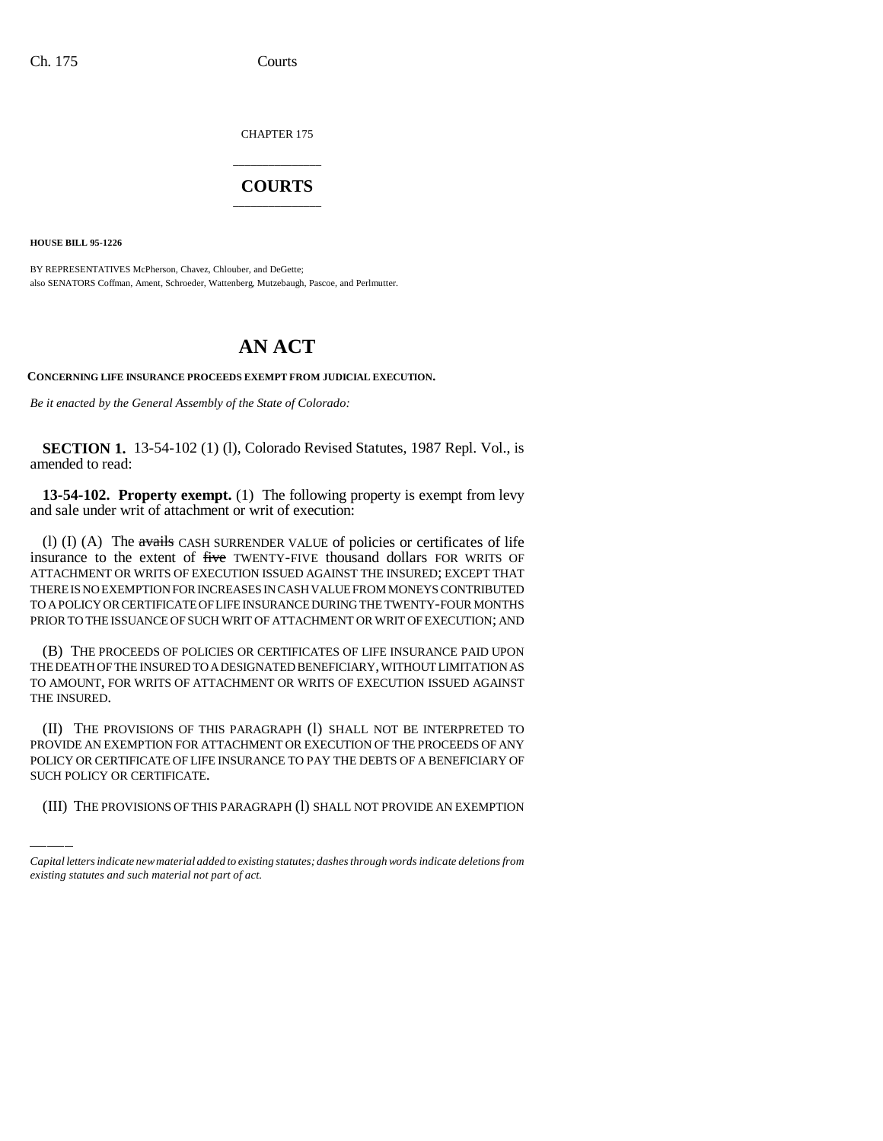CHAPTER 175

## \_\_\_\_\_\_\_\_\_\_\_\_\_\_\_ **COURTS** \_\_\_\_\_\_\_\_\_\_\_\_\_\_\_

**HOUSE BILL 95-1226**

BY REPRESENTATIVES McPherson, Chavez, Chlouber, and DeGette; also SENATORS Coffman, Ament, Schroeder, Wattenberg, Mutzebaugh, Pascoe, and Perlmutter.

## **AN ACT**

**CONCERNING LIFE INSURANCE PROCEEDS EXEMPT FROM JUDICIAL EXECUTION.**

*Be it enacted by the General Assembly of the State of Colorado:*

**SECTION 1.** 13-54-102 (1) (l), Colorado Revised Statutes, 1987 Repl. Vol., is amended to read:

**13-54-102. Property exempt.** (1) The following property is exempt from levy and sale under writ of attachment or writ of execution:

(1) (I) (A) The  $\alpha$  avails CASH SURRENDER VALUE of policies or certificates of life insurance to the extent of five TWENTY-FIVE thousand dollars FOR WRITS OF ATTACHMENT OR WRITS OF EXECUTION ISSUED AGAINST THE INSURED; EXCEPT THAT THERE IS NO EXEMPTION FOR INCREASES IN CASH VALUE FROM MONEYS CONTRIBUTED TO A POLICY OR CERTIFICATE OF LIFE INSURANCE DURING THE TWENTY-FOUR MONTHS PRIOR TO THE ISSUANCE OF SUCH WRIT OF ATTACHMENT OR WRIT OF EXECUTION; AND

(B) THE PROCEEDS OF POLICIES OR CERTIFICATES OF LIFE INSURANCE PAID UPON THE DEATH OF THE INSURED TO A DESIGNATED BENEFICIARY, WITHOUT LIMITATION AS TO AMOUNT, FOR WRITS OF ATTACHMENT OR WRITS OF EXECUTION ISSUED AGAINST THE INSURED.

PROVIDE AN EXEMPTION FOR ATTACHMENT OR EXECUTION OF THE PROCEEDS OF ANY (II) THE PROVISIONS OF THIS PARAGRAPH (l) SHALL NOT BE INTERPRETED TO POLICY OR CERTIFICATE OF LIFE INSURANCE TO PAY THE DEBTS OF A BENEFICIARY OF SUCH POLICY OR CERTIFICATE.

(III) THE PROVISIONS OF THIS PARAGRAPH (l) SHALL NOT PROVIDE AN EXEMPTION

*Capital letters indicate new material added to existing statutes; dashes through words indicate deletions from existing statutes and such material not part of act.*